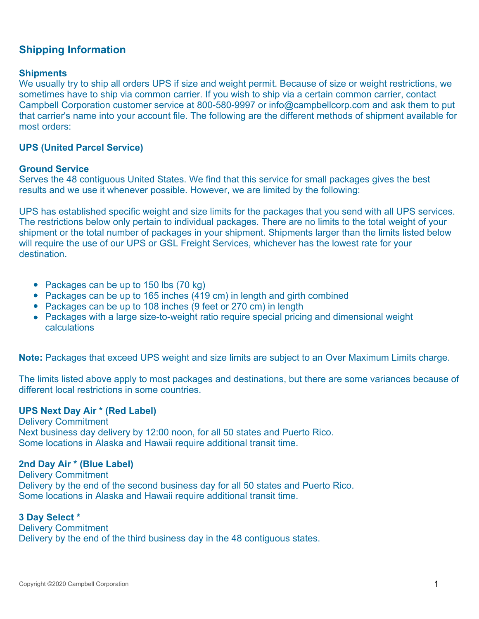# **Shipping Information**

#### **Shipments**

We usually try to ship all orders UPS if size and weight permit. Because of size or weight restrictions, we sometimes have to ship via common carrier. If you wish to ship via a certain common carrier, contact Campbell Corporation customer service at 800-580-9997 or info@campbellcorp.com and ask them to put that carrier's name into your account file. The following are the different methods of shipment available for most orders:

## **UPS (United Parcel Service)**

#### **Ground Service**

Serves the 48 contiguous United States. We find that this service for small packages gives the best results and we use it whenever possible. However, we are limited by the following:

UPS has established specific weight and size limits for the packages that you send with all UPS services. The restrictions below only pertain to individual packages. There are no limits to the total weight of your shipment or the total number of packages in your shipment. Shipments larger than the limits listed below will require the use of our UPS or GSL Freight Services, whichever has the lowest rate for your destination.

- Packages can be up to 150 lbs (70 kg)
- Packages can be up to 165 inches (419 cm) in length and girth combined
- Packages can be up to 108 inches (9 feet or 270 cm) in length
- Packages with a large size-to-weight ratio require special pricing and dimensional weight calculations

**Note:** Packages that exceed UPS weight and size limits are subject to an Over Maximum Limits charge.

The limits listed above apply to most packages and destinations, but there are some variances because of different local restrictions in some countries.

#### **UPS Next Day Air \* (Red Label)**

Delivery Commitment Next business day delivery by 12:00 noon, for all 50 states and Puerto Rico. Some locations in Alaska and Hawaii require additional transit time.

#### **2nd Day Air \* (Blue Label)**

Delivery Commitment Delivery by the end of the second business day for all 50 states and Puerto Rico. Some locations in Alaska and Hawaii require additional transit time.

## **3 Day Select \***

Delivery Commitment Delivery by the end of the third business day in the 48 contiguous states.